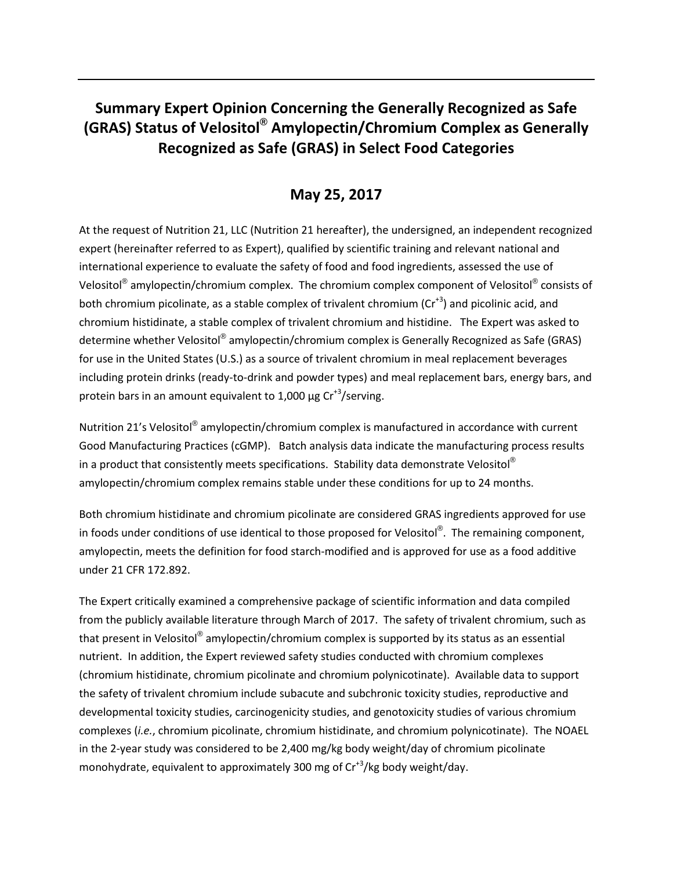## **Summary Expert Opinion Concerning the Generally Recognized as Safe (GRAS) Status of Velositol® Amylopectin/Chromium Complex as Generally Recognized as Safe (GRAS) in Select Food Categories**

## **May 25, 2017**

At the request of Nutrition 21, LLC (Nutrition 21 hereafter), the undersigned, an independent recognized expert (hereinafter referred to as Expert), qualified by scientific training and relevant national and international experience to evaluate the safety of food and food ingredients, assessed the use of Velositol<sup>®</sup> amylopectin/chromium complex. The chromium complex component of Velositol<sup>®</sup> consists of both chromium picolinate, as a stable complex of trivalent chromium  $(Cr^{+3})$  and picolinic acid, and chromium histidinate, a stable complex of trivalent chromium and histidine. The Expert was asked to determine whether Velositol® amylopectin/chromium complex is Generally Recognized as Safe (GRAS) for use in the United States (U.S.) as a source of trivalent chromium in meal replacement beverages including protein drinks (ready-to-drink and powder types) and meal replacement bars, energy bars, and protein bars in an amount equivalent to 1,000  $\mu$ g Cr<sup>+3</sup>/serving.

Nutrition 21's Velositol<sup>®</sup> amylopectin/chromium complex is manufactured in accordance with current Good Manufacturing Practices (cGMP). Batch analysis data indicate the manufacturing process results in a product that consistently meets specifications. Stability data demonstrate Velositol<sup>®</sup> amylopectin/chromium complex remains stable under these conditions for up to 24 months.

Both chromium histidinate and chromium picolinate are considered GRAS ingredients approved for use in foods under conditions of use identical to those proposed for Velositol $^{\circledR}$ . The remaining component, amylopectin, meets the definition for food starch-modified and is approved for use as a food additive under 21 CFR 172.892.

The Expert critically examined a comprehensive package of scientific information and data compiled from the publicly available literature through March of 2017. The safety of trivalent chromium, such as that present in Velositol<sup>®</sup> amylopectin/chromium complex is supported by its status as an essential nutrient. In addition, the Expert reviewed safety studies conducted with chromium complexes (chromium histidinate, chromium picolinate and chromium polynicotinate). Available data to support the safety of trivalent chromium include subacute and subchronic toxicity studies, reproductive and developmental toxicity studies, carcinogenicity studies, and genotoxicity studies of various chromium complexes (*i.e.*, chromium picolinate, chromium histidinate, and chromium polynicotinate). The NOAEL in the 2-year study was considered to be 2,400 mg/kg body weight/day of chromium picolinate monohydrate, equivalent to approximately 300 mg of Cr<sup>+3</sup>/kg body weight/day.